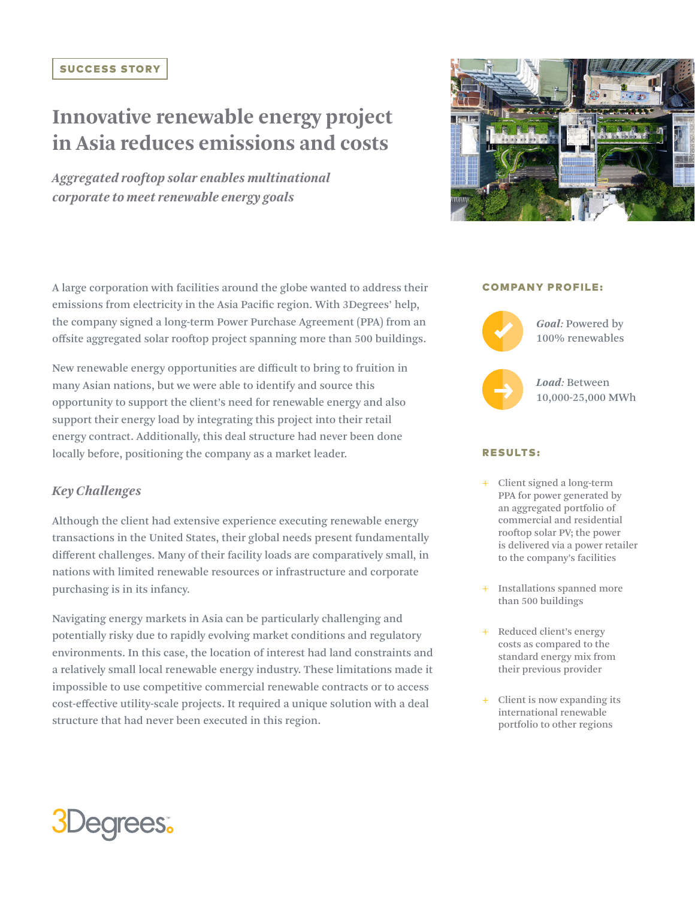## SUCCESS STORY

# **Innovative renewable energy project in Asia reduces emissions and costs**

*Aggregated rooftop solar enables multinational corporate to meet renewable energy goals*

A large corporation with facilities around the globe wanted to address their emissions from electricity in the Asia Pacific region. With 3Degrees' help, the company signed a long-term Power Purchase Agreement (PPA) from an offsite aggregated solar rooftop project spanning more than 500 buildings.

New renewable energy opportunities are difficult to bring to fruition in many Asian nations, but we were able to identify and source this opportunity to support the client's need for renewable energy and also support their energy load by integrating this project into their retail energy contract. Additionally, this deal structure had never been done locally before, positioning the company as a market leader.

# *Key Challenges*

Although the client had extensive experience executing renewable energy transactions in the United States, their global needs present fundamentally different challenges. Many of their facility loads are comparatively small, in nations with limited renewable resources or infrastructure and corporate purchasing is in its infancy.

Navigating energy markets in Asia can be particularly challenging and potentially risky due to rapidly evolving market conditions and regulatory environments. In this case, the location of interest had land constraints and a relatively small local renewable energy industry. These limitations made it impossible to use competitive commercial renewable contracts or to access cost-effective utility-scale projects. It required a unique solution with a deal structure that had never been executed in this region.



### COMPANY PROFILE:



*Load:* Between

## RESULTS:

- + Client signed a long-term PPA for power generated by an aggregated portfolio of commercial and residential rooftop solar PV; the power is delivered via a power retailer to the company's facilities
- + Installations spanned more than 500 buildings
- + Reduced client's energy costs as compared to the standard energy mix from their previous provider
- + Client is now expanding its international renewable portfolio to other regions